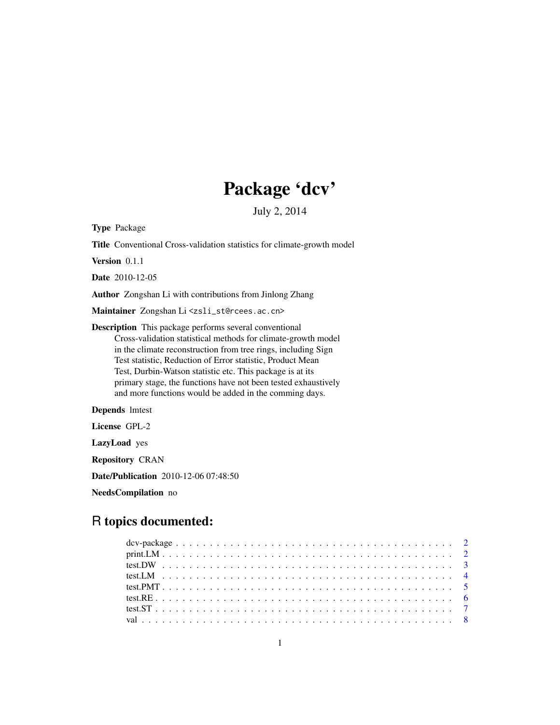## Package 'dcv'

July 2, 2014

<span id="page-0-0"></span>Type Package

Title Conventional Cross-validation statistics for climate-growth model

Version 0.1.1

Date 2010-12-05

Author Zongshan Li with contributions from Jinlong Zhang

Maintainer Zongshan Li<zsli\_st@rcees.ac.cn>

Description This package performs several conventional Cross-validation statistical methods for climate-growth model in the climate reconstruction from tree rings, including Sign Test statistic, Reduction of Error statistic, Product Mean Test, Durbin-Watson statistic etc. This package is at its primary stage, the functions have not been tested exhaustively and more functions would be added in the comming days.

Depends lmtest

License GPL-2

LazyLoad yes

Repository CRAN

Date/Publication 2010-12-06 07:48:50

NeedsCompilation no

### R topics documented: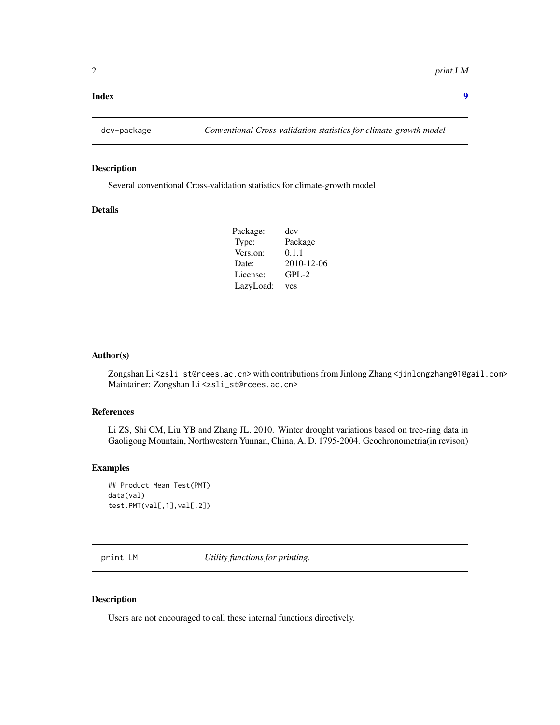#### <span id="page-1-0"></span>**Index** [9](#page-8-0)

#### Description

Several conventional Cross-validation statistics for climate-growth model

#### Details

| Package:  | dcv        |
|-----------|------------|
| Type:     | Package    |
| Version:  | 0.1.1      |
| Date:     | 2010-12-06 |
| License:  | $GPL-2$    |
| LazyLoad: | yes        |

#### Author(s)

Zongshan Li<zsli\_st@rcees.ac.cn> with contributions from Jinlong Zhang <jinlongzhang01@gail.com> Maintainer: Zongshan Li <zsli\_st@rcees.ac.cn>

#### References

Li ZS, Shi CM, Liu YB and Zhang JL. 2010. Winter drought variations based on tree-ring data in Gaoligong Mountain, Northwestern Yunnan, China, A. D. 1795-2004. Geochronometria(in revison)

#### Examples

```
## Product Mean Test(PMT)
data(val)
test.PMT(val[,1],val[,2])
```
print.LM *Utility functions for printing.*

#### Description

Users are not encouraged to call these internal functions directively.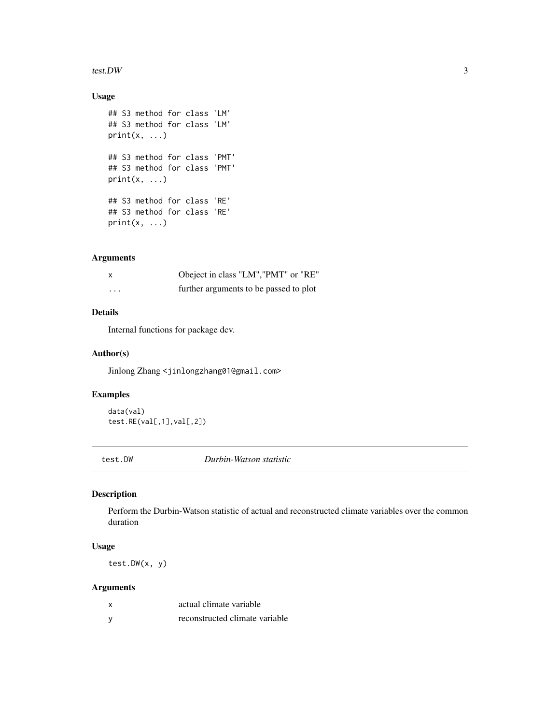#### <span id="page-2-0"></span>test.DW 3

#### Usage

```
## S3 method for class 'LM'
## S3 method for class 'LM'
print(x, \ldots)## S3 method for class 'PMT'
## S3 method for class 'PMT'
print(x, \ldots)## S3 method for class 'RE'
## S3 method for class 'RE'
print(x, \ldots)
```
#### Arguments

|                         | Obeject in class "LM", "PMT" or "RE"   |
|-------------------------|----------------------------------------|
| $\cdot$ $\cdot$ $\cdot$ | further arguments to be passed to plot |

#### Details

Internal functions for package dcv.

#### Author(s)

Jinlong Zhang <jinlongzhang01@gmail.com>

#### Examples

data(val) test.RE(val[,1],val[,2])

test.DW *Durbin-Watson statistic*

#### Description

Perform the Durbin-Watson statistic of actual and reconstructed climate variables over the common duration

#### Usage

test.DW(x, y)

#### Arguments

| $\boldsymbol{\mathsf{x}}$ | actual climate variable        |
|---------------------------|--------------------------------|
| <b>V</b>                  | reconstructed climate variable |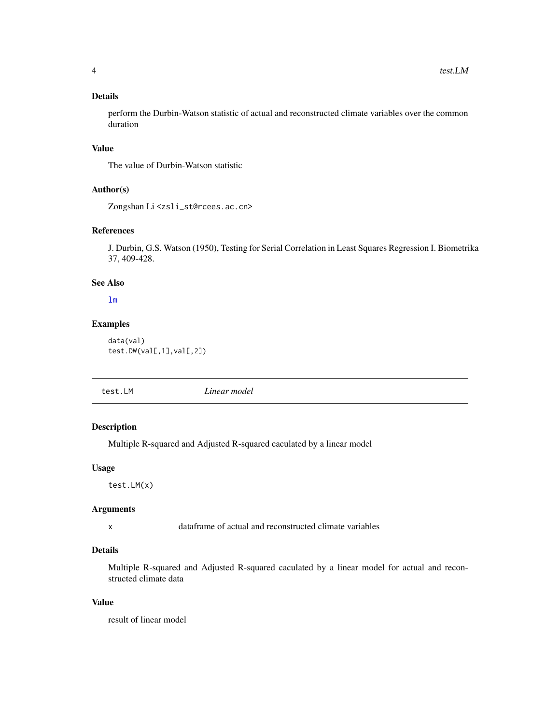#### <span id="page-3-0"></span>Details

perform the Durbin-Watson statistic of actual and reconstructed climate variables over the common duration

#### Value

The value of Durbin-Watson statistic

#### Author(s)

Zongshan Li <zsli\_st@rcees.ac.cn>

#### References

J. Durbin, G.S. Watson (1950), Testing for Serial Correlation in Least Squares Regression I. Biometrika 37, 409-428.

#### See Also

[lm](#page-0-0)

#### Examples

data(val) test.DW(val[,1],val[,2])

test.LM *Linear model*

#### Description

Multiple R-squared and Adjusted R-squared caculated by a linear model

#### Usage

test.LM(x)

#### Arguments

x dataframe of actual and reconstructed climate variables

#### Details

Multiple R-squared and Adjusted R-squared caculated by a linear model for actual and reconstructed climate data

#### Value

result of linear model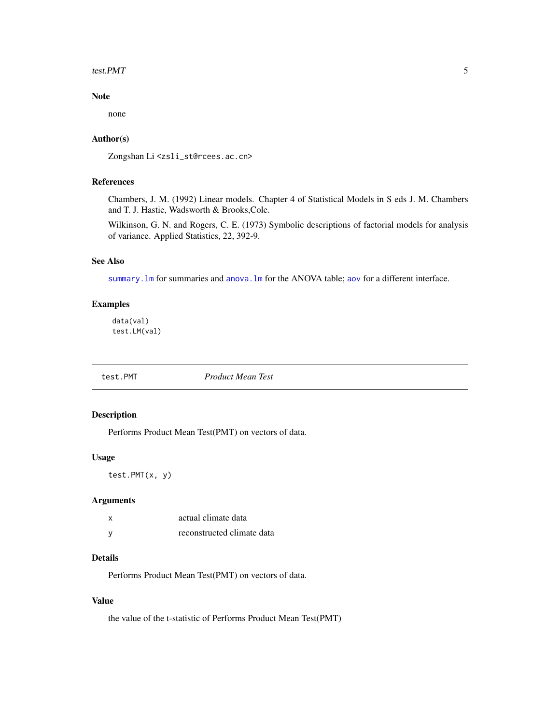#### <span id="page-4-0"></span>test.PMT 5

#### Note

none

#### Author(s)

Zongshan Li<zsli\_st@rcees.ac.cn>

#### References

Chambers, J. M. (1992) Linear models. Chapter 4 of Statistical Models in S eds J. M. Chambers and T. J. Hastie, Wadsworth & Brooks,Cole.

Wilkinson, G. N. and Rogers, C. E. (1973) Symbolic descriptions of factorial models for analysis of variance. Applied Statistics, 22, 392-9.

#### See Also

summary. Im for summaries and anova. Im for the ANOVA table; [aov](#page-0-0) for a different interface.

#### Examples

data(val) test.LM(val)

#### <span id="page-4-1"></span>test.PMT *Product Mean Test*

#### Description

Performs Product Mean Test(PMT) on vectors of data.

#### Usage

```
test.PMT(x, y)
```
#### Arguments

| X | actual climate data        |
|---|----------------------------|
| у | reconstructed climate data |

#### Details

Performs Product Mean Test(PMT) on vectors of data.

#### Value

the value of the t-statistic of Performs Product Mean Test(PMT)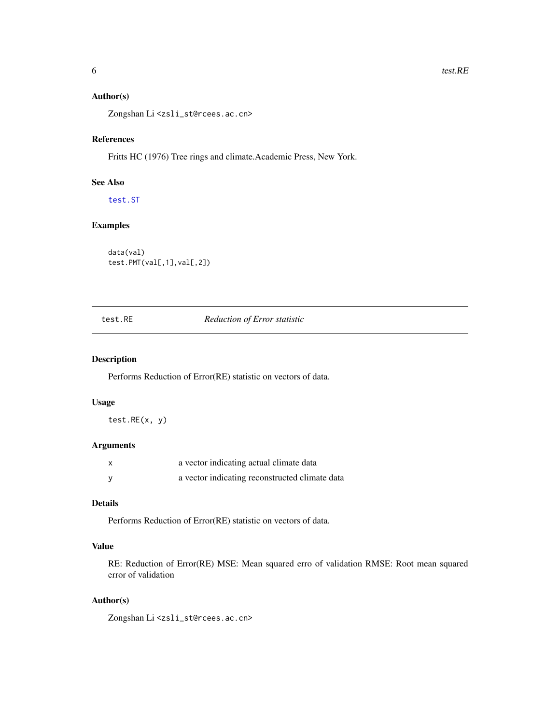#### <span id="page-5-0"></span>Author(s)

Zongshan Li<zsli\_st@rcees.ac.cn>

#### References

Fritts HC (1976) Tree rings and climate.Academic Press, New York.

#### See Also

[test.ST](#page-6-1)

#### Examples

```
data(val)
test.PMT(val[,1],val[,2])
```
#### test.RE *Reduction of Error statistic*

#### Description

Performs Reduction of Error(RE) statistic on vectors of data.

#### Usage

test.RE(x, y)

#### Arguments

| x | a vector indicating actual climate data        |
|---|------------------------------------------------|
|   | a vector indicating reconstructed climate data |

#### Details

Performs Reduction of Error(RE) statistic on vectors of data.

#### Value

RE: Reduction of Error(RE) MSE: Mean squared erro of validation RMSE: Root mean squared error of validation

#### Author(s)

Zongshan Li <zsli\_st@rcees.ac.cn>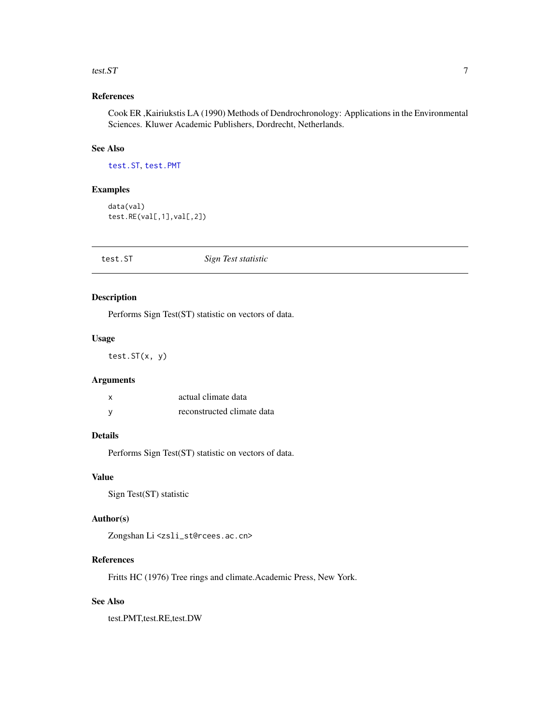#### <span id="page-6-0"></span>test.  $ST$  7

#### References

Cook ER ,Kairiukstis LA (1990) Methods of Dendrochronology: Applications in the Environmental Sciences. Kluwer Academic Publishers, Dordrecht, Netherlands.

#### See Also

[test.ST](#page-6-1), [test.PMT](#page-4-1)

#### Examples

```
data(val)
test.RE(val[,1],val[,2])
```
<span id="page-6-1"></span>

| test.ST | Sign Test statistic |  |
|---------|---------------------|--|
|---------|---------------------|--|

#### Description

Performs Sign Test(ST) statistic on vectors of data.

#### Usage

test.ST(x, y)

#### Arguments

| X | actual climate data        |
|---|----------------------------|
| у | reconstructed climate data |

#### Details

Performs Sign Test(ST) statistic on vectors of data.

#### Value

Sign Test(ST) statistic

#### Author(s)

Zongshan Li<zsli\_st@rcees.ac.cn>

#### References

Fritts HC (1976) Tree rings and climate.Academic Press, New York.

#### See Also

test.PMT,test.RE,test.DW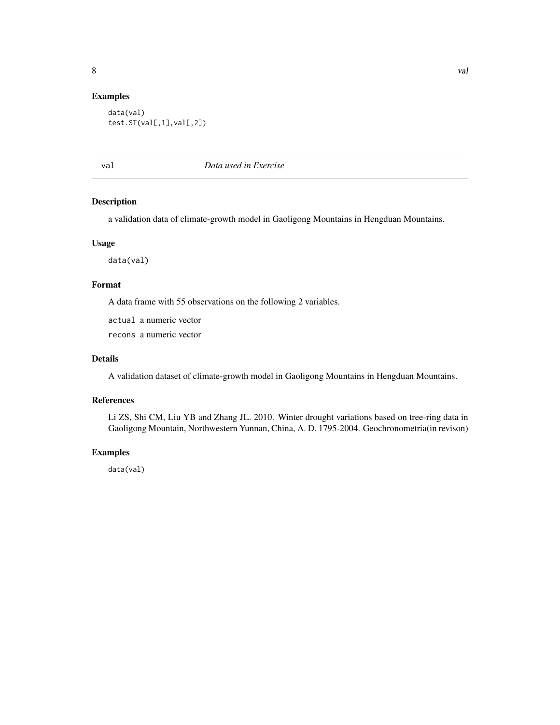#### <span id="page-7-0"></span>Examples

```
data(val)
test.ST(val[,1],val[,2])
```
val *Data used in Exercise*

#### Description

a validation data of climate-growth model in Gaoligong Mountains in Hengduan Mountains.

#### Usage

data(val)

#### Format

A data frame with 55 observations on the following 2 variables.

actual a numeric vector

recons a numeric vector

#### Details

A validation dataset of climate-growth model in Gaoligong Mountains in Hengduan Mountains.

#### References

Li ZS, Shi CM, Liu YB and Zhang JL. 2010. Winter drought variations based on tree-ring data in Gaoligong Mountain, Northwestern Yunnan, China, A. D. 1795-2004. Geochronometria(in revison)

#### Examples

data(val)